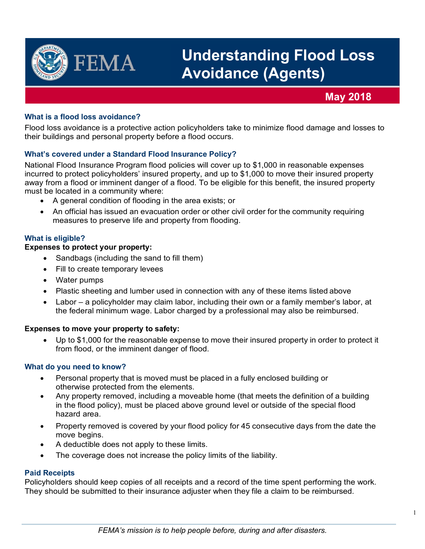

# **Understanding Flood Loss Avoidance (Agents)**

# **May 2018**

# **What is a flood loss avoidance?**

Flood loss avoidance is a protective action policyholders take to minimize flood damage and losses to their buildings and personal property before a flood occurs.

## **What's covered under a Standard Flood Insurance Policy?**

National Flood Insurance Program flood policies will cover up to \$1,000 in reasonable expenses incurred to protect policyholders' insured property, and up to \$1,000 to move their insured property away from a flood or imminent danger of a flood. To be eligible for this benefit, the insured property must be located in a community where:

- A general condition of flooding in the area exists; or
- An official has issued an evacuation order or other civil order for the community requiring measures to preserve life and property from flooding.

#### **What is eligible?**

#### **Expenses to protect your property:**

- Sandbags (including the sand to fill them)
- Fill to create temporary levees
- Water pumps
- Plastic sheeting and lumber used in connection with any of these items listed above
- Labor a policyholder may claim labor, including their own or a family member's labor, at the federal minimum wage. Labor charged by a professional may also be reimbursed.

#### **Expenses to move your property to safety:**

• Up to \$1,000 for the reasonable expense to move their insured property in order to protect it from flood, or the imminent danger of flood.

#### **What do you need to know?**

- Personal property that is moved must be placed in a fully enclosed building or otherwise protected from the elements.
- Any property removed, including a moveable home (that meets the definition of a building in the flood policy), must be placed above ground level or outside of the special flood hazard area.
- Property removed is covered by your flood policy for 45 consecutive days from the date the move begins.
- A deductible does not apply to these limits.
- The coverage does not increase the policy limits of the liability.

#### **Paid Receipts**

Policyholders should keep copies of all receipts and a record of the time spent performing the work. They should be submitted to their insurance adjuster when they file a claim to be reimbursed.